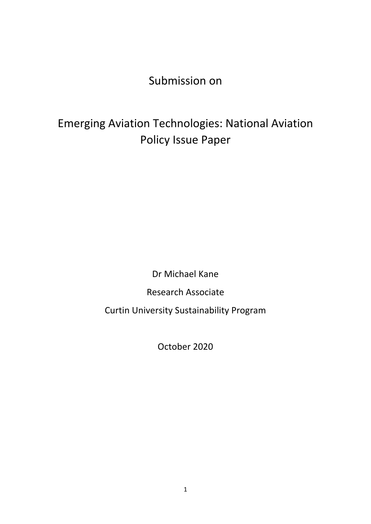Submission on

# Emerging Aviation Technologies: National Aviation Policy Issue Paper

Dr Michael Kane

Research Associate

Curtin University Sustainability Program

October 2020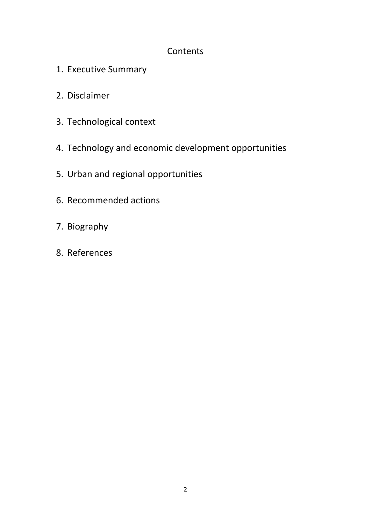### **Contents**

- 1. Executive Summary
- 2. Disclaimer
- 3. Technological context
- 4. Technology and economic development opportunities
- 5. Urban and regional opportunities
- 6. Recommended actions
- 7. Biography
- 8. References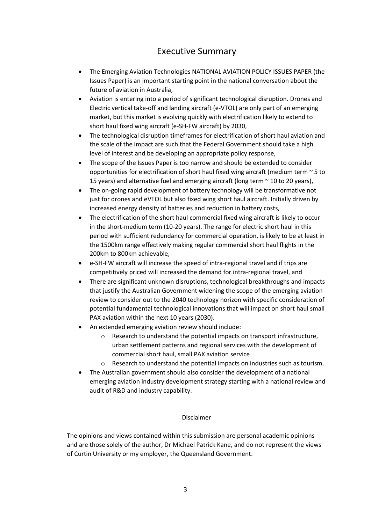#### Executive Summary

- The Emerging Aviation Technologies NATIONAL AVIATION POLICY ISSUES PAPER (the Issues Paper) is an important starting point in the national conversation about the future of aviation in Australia,
- Aviation is entering into a period of significant technological disruption. Drones and Electric vertical take-off and landing aircraft (e-VTOL) are only part of an emerging market, but this market is evolving quickly with electrification likely to extend to short haul fixed wing aircraft (e-SH-FW aircraft) by 2030,
- The technological disruption timeframes for electrification of short haul aviation and the scale of the impact are such that the Federal Government should take a high level of interest and be developing an appropriate policy response,
- The scope of the Issues Paper is too narrow and should be extended to consider opportunities for electrification of short haul fixed wing aircraft (medium term  $\sim$  5 to 15 years) and alternative fuel and emerging aircraft (long term  $\sim$  10 to 20 years),
- The on-going rapid development of battery technology will be transformative not just for drones and eVTOL but also fixed wing short haul aircraft. Initially driven by increased energy density of batteries and reduction in battery costs,
- The electrification of the short haul commercial fixed wing aircraft is likely to occur in the short-medium term (10-20 years). The range for electric short haul in this period with sufficient redundancy for commercial operation, is likely to be at least in the 1500km range effectively making regular commercial short haul flights in the 200km to 800km achievable,
- e-SH-FW aircraft will increase the speed of intra-regional travel and if trips are competitively priced will increased the demand for intra-regional travel, and
- There are significant unknown disruptions, technological breakthroughs and impacts that justify the Australian Government widening the scope of the emerging aviation review to consider out to the 2040 technology horizon with specific consideration of potential fundamental technological innovations that will impact on short haul small PAX aviation within the next 10 years (2030).
- An extended emerging aviation review should include:
	- o Research to understand the potential impacts on transport infrastructure, urban settlement patterns and regional services with the development of commercial short haul, small PAX aviation service
	- o Research to understand the potential impacts on industries such as tourism.
- The Australian government should also consider the development of a national emerging aviation industry development strategy starting with a national review and audit of R&D and industry capability.

#### Disclaimer

The opinions and views contained within this submission are personal academic opinions and are those solely of the author, Dr Michael Patrick Kane, and do not represent the views of Curtin University or my employer, the Queensland Government.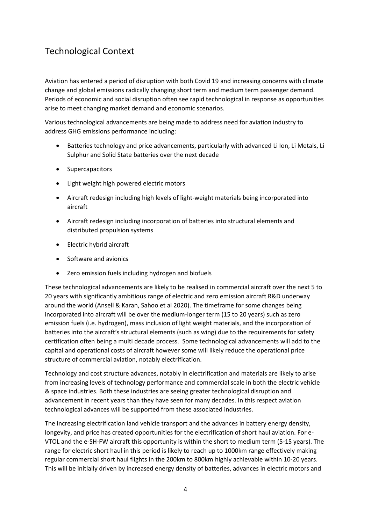## Technological Context

Aviation has entered a period of disruption with both Covid 19 and increasing concerns with climate change and global emissions radically changing short term and medium term passenger demand. Periods of economic and social disruption often see rapid technological in response as opportunities arise to meet changing market demand and economic scenarios.

Various technological advancements are being made to address need for aviation industry to address GHG emissions performance including:

- Batteries technology and price advancements, particularly with advanced Li Ion, Li Metals, Li Sulphur and Solid State batteries over the next decade
- Supercapacitors
- Light weight high powered electric motors
- Aircraft redesign including high levels of light-weight materials being incorporated into aircraft
- Aircraft redesign including incorporation of batteries into structural elements and distributed propulsion systems
- Electric hybrid aircraft
- Software and avionics
- Zero emission fuels including hydrogen and biofuels

These technological advancements are likely to be realised in commercial aircraft over the next 5 to 20 years with significantly ambitious range of electric and zero emission aircraft R&D underway around the world (Ansell & Karan, Sahoo et al 2020). The timeframe for some changes being incorporated into aircraft will be over the medium-longer term (15 to 20 years) such as zero emission fuels (i.e. hydrogen), mass inclusion of light weight materials, and the incorporation of batteries into the aircraft's structural elements (such as wing) due to the requirements for safety certification often being a multi decade process. Some technological advancements will add to the capital and operational costs of aircraft however some will likely reduce the operational price structure of commercial aviation, notably electrification.

Technology and cost structure advances, notably in electrification and materials are likely to arise from increasing levels of technology performance and commercial scale in both the electric vehicle & space industries. Both these industries are seeing greater technological disruption and advancement in recent years than they have seen for many decades. In this respect aviation technological advances will be supported from these associated industries.

The increasing electrification land vehicle transport and the advances in battery energy density, longevity, and price has created opportunities for the electrification of short haul aviation. For e-VTOL and the e-SH-FW aircraft this opportunity is within the short to medium term (5-15 years). The range for electric short haul in this period is likely to reach up to 1000km range effectively making regular commercial short haul flights in the 200km to 800km highly achievable within 10-20 years. This will be initially driven by increased energy density of batteries, advances in electric motors and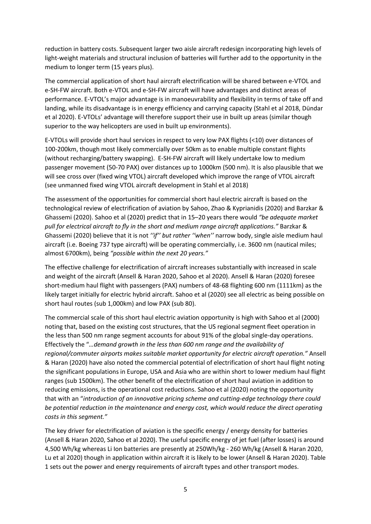reduction in battery costs. Subsequent larger two aisle aircraft redesign incorporating high levels of light-weight materials and structural inclusion of batteries will further add to the opportunity in the medium to longer term (15 years plus).

The commercial application of short haul aircraft electrification will be shared between e-VTOL and e-SH-FW aircraft. Both e-VTOL and e-SH-FW aircraft will have advantages and distinct areas of performance. E-VTOL's major advantage is in manoeuvrability and flexibility in terms of take off and landing, while its disadvantage is in energy efficiency and carrying capacity (Stahl et al 2018, Dündar et al 2020). E-VTOLs' advantage will therefore support their use in built up areas (similar though superior to the way helicopters are used in built up environments).

E-VTOLs will provide short haul services in respect to very low PAX flights (<10) over distances of 100-200km, though most likely commercially over 50km as to enable multiple constant flights (without recharging/battery swapping). E-SH-FW aircraft will likely undertake low to medium passenger movement (50-70 PAX) over distances up to 1000km (500 nm). It is also plausible that we will see cross over (fixed wing VTOL) aircraft developed which improve the range of VTOL aircraft (see unmanned fixed wing VTOL aircraft development in Stahl et al 2018)

The assessment of the opportunities for commercial short haul electric aircraft is based on the technological review of electrification of aviation by Sahoo, Zhao & Kyprianidis (2020) and Barzkar & Ghassemi (2020). Sahoo et al (2020) predict that in 15–20 years there would *"be adequate market pull for electrical aircraft to fly in the short and medium range aircraft applications."* Barzkar & Ghassemi (2020) believe that it is not *''if'' but rather ''when''* narrow body, single aisle medium haul aircraft (i.e. Boeing 737 type aircraft) will be operating commercially, i.e. 3600 nm (nautical miles; almost 6700km), being *"possible within the next 20 years."*

The effective challenge for electrification of aircraft increases substantially with increased in scale and weight of the aircraft (Ansell & Haran 2020, Sahoo et al 2020). Ansell & Haran (2020) foresee short-medium haul flight with passengers (PAX) numbers of 48-68 flighting 600 nm (1111km) as the likely target initially for electric hybrid aircraft. Sahoo et al (2020) see all electric as being possible on short haul routes (sub 1,000km) and low PAX (sub 80).

The commercial scale of this short haul electric aviation opportunity is high with Sahoo et al (2000) noting that, based on the existing cost structures, that the US regional segment fleet operation in the less than 500 nm range segment accounts for about 91% of the global single-day operations. Effectively the "*…demand growth in the less than 600 nm range and the availability of regional/commuter airports makes suitable market opportunity for electric aircraft operation."* Ansell & Haran (2020) have also noted the commercial potential of electrification of short haul flight noting the significant populations in Europe, USA and Asia who are within short to lower medium haul flight ranges (sub 1500km). The other benefit of the electrification of short haul aviation in addition to reducing emissions, is the operational cost reductions. Sahoo et al (2020) noting the opportunity that with an "*introduction of an innovative pricing scheme and cutting-edge technology there could be potential reduction in the maintenance and energy cost, which would reduce the direct operating costs in this segment."*

The key driver for electrification of aviation is the specific energy / energy density for batteries (Ansell & Haran 2020, Sahoo et al 2020). The useful specific energy of jet fuel (after losses) is around 4,500 Wh/kg whereas Li Ion batteries are presently at 250Wh/kg - 260 Wh/kg (Ansell & Haran 2020, Lu et al 2020) though in application within aircraft it is likely to be lower (Ansell & Haran 2020). Table 1 sets out the power and energy requirements of aircraft types and other transport modes.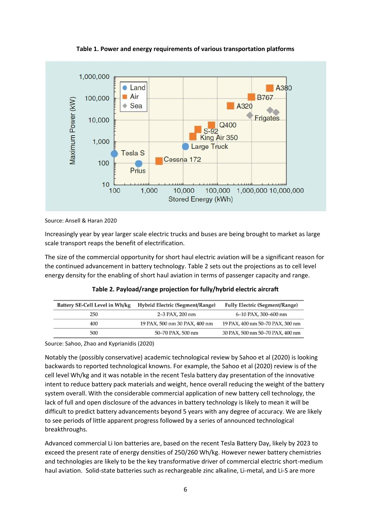**Table 1. Power and energy requirements of various transportation platforms**



Source: Ansell & Haran 2020

Increasingly year by year larger scale electric trucks and buses are being brought to market as large scale transport reaps the benefit of electrification.

The size of the commercial opportunity for short haul electric aviation will be a significant reason for the continued advancement in battery technology. Table 2 sets out the projections as to cell level energy density for the enabling of short haul aviation in terms of passenger capacity and range.

| Battery SE-Cell Level in Wh/kg | Hybrid Electric (Segment/Range) | <b>Fully Electric (Segment/Range)</b> |  |  |
|--------------------------------|---------------------------------|---------------------------------------|--|--|
| 250                            | $2 - 3$ PAX, 200 nm             | 6-10 PAX, 300-600 nm                  |  |  |
| 400                            | 19 PAX, 500 nm 30 PAX, 400 nm   | 19 PAX, 400 nm 50-70 PAX, 300 nm      |  |  |
| 500                            | 50–70 PAX, 500 nm               | 30 PAX, 500 nm 50-70 PAX, 400 nm      |  |  |

**Table 2. Payload/range projection for fully/hybrid electric aircraft**

Source: Sahoo, Zhao and Kyprianidis (2020)

Notably the (possibly conservative) academic technological review by Sahoo et al (2020) is looking backwards to reported technological knowns. For example, the Sahoo et al (2020) review is of the cell level Wh/kg and it was notable in the recent Tesla battery day presentation of the innovative intent to reduce battery pack materials and weight, hence overall reducing the weight of the battery system overall. With the considerable commercial application of new battery cell technology, the lack of full and open disclosure of the advances in battery technology is likely to mean it will be difficult to predict battery advancements beyond 5 years with any degree of accuracy. We are likely to see periods of little apparent progress followed by a series of announced technological breakthroughs.

Advanced commercial Li Ion batteries are, based on the recent Tesla Battery Day, likely by 2023 to exceed the present rate of energy densities of 250/260 Wh/kg. However newer battery chemistries and technologies are likely to be the key transformative driver of commercial electric short-medium haul aviation. Solid-state batteries such as rechargeable zinc alkaline, Li-metal, and Li-S are more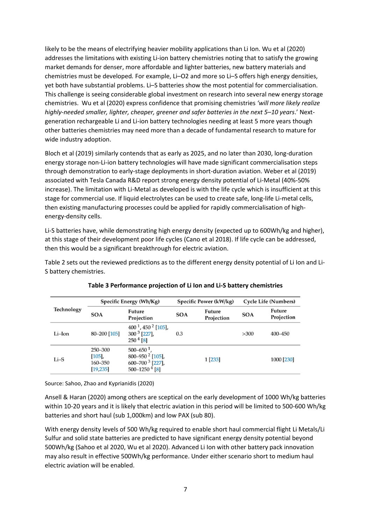likely to be the means of electrifying heavier mobility applications than Li Ion. Wu et al (2020) addresses the limitations with existing Li-ion battery chemistries noting that to satisfy the growing market demands for denser, more affordable and lighter batteries, new battery materials and chemistries must be developed*.* For example, Li–O2 and more so Li–S offers high energy densities, yet both have substantial problems. Li–S batteries show the most potential for commercialisation. This challenge is seeing considerable global investment on research into several new energy storage chemistries. Wu et al (2020) express confidence that promising chemistries *'will more likely realize highly-needed smaller, lighter, cheaper, greener and safer batteries in the next 5–10 years*.' Nextgeneration rechargeable Li and Li-ion battery technologies needing at least 5 more years though other batteries chemistries may need more than a decade of fundamental research to mature for wide industry adoption.

Bloch et al (2019) similarly contends that as early as 2025, and no later than 2030, long-duration energy storage non-Li-ion battery technologies will have made significant commercialisation steps through demonstration to early-stage deployments in short-duration aviation. Weber et al (2019) associated with Tesla Canada R&D report strong energy density potential of Li-Metal (40%-50% increase). The limitation with Li-Metal as developed is with the life cycle which is insufficient at this stage for commercial use. If liquid electrolytes can be used to create safe, long-life Li-metal cells, then existing manufacturing processes could be applied for rapidly commercialisation of highenergy-density cells.

Li-S batteries have, while demonstrating high energy density (expected up to 600Wh/kg and higher), at this stage of their development poor life cycles (Cano et al 2018). If life cycle can be addressed, then this would be a significant breakthrough for electric aviation.

Table 2 sets out the reviewed predictions as to the different energy density potential of Li Ion and Li-S battery chemistries.

| Technology | Specific Energy (Wh/Kg)                      |                                                                                                                           | Specific Power (kW/kg) |                      | Cycle Life (Numbers) |                             |
|------------|----------------------------------------------|---------------------------------------------------------------------------------------------------------------------------|------------------------|----------------------|----------------------|-----------------------------|
|            | <b>SOA</b>                                   | Future<br>Projection                                                                                                      | <b>SOA</b>             | Future<br>Projection | <b>SOA</b>           | <b>Future</b><br>Projection |
| Li-Ion     | 80-200 [105]                                 | $400^1$ , $450^2$ [105],<br>$300^3$ [227],<br>$2504$ [8]                                                                  | 0.3                    |                      | >300                 | $400 - 450$                 |
| $Li-S$     | 250-300<br>$[105]$ ,<br>160–350<br>[19, 235] | $500 - 650$ <sup>1</sup> ,<br>800-950 <sup>2</sup> [105],<br>600-700 <sup>3</sup> [227],<br>$500 - 1250$ <sup>4</sup> [8] |                        | 1 [233]              |                      | 1000 [230]                  |

Source: Sahoo, Zhao and Kyprianidis (2020)

Ansell & Haran (2020) among others are sceptical on the early development of 1000 Wh/kg batteries within 10-20 years and it is likely that electric aviation in this period will be limited to 500-600 Wh/kg batteries and short haul (sub 1,000km) and low PAX (sub 80).

With energy density levels of 500 Wh/kg required to enable short haul commercial flight Li Metals/Li Sulfur and solid state batteries are predicted to have significant energy density potential beyond 500Wh/kg (Sahoo et al 2020, Wu et al 2020). Advanced Li Ion with other battery pack innovation may also result in effective 500Wh/kg performance. Under either scenario short to medium haul electric aviation will be enabled.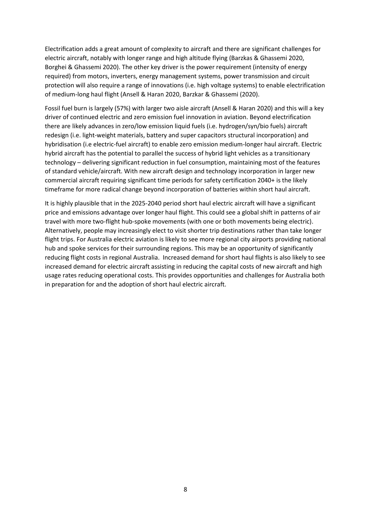Electrification adds a great amount of complexity to aircraft and there are significant challenges for electric aircraft, notably with longer range and high altitude flying (Barzkas & Ghassemi 2020, Borghei & Ghassemi 2020). The other key driver is the power requirement (intensity of energy required) from motors, inverters, energy management systems, power transmission and circuit protection will also require a range of innovations (i.e. high voltage systems) to enable electrification of medium-long haul flight (Ansell & Haran 2020, Barzkar & Ghassemi (2020).

Fossil fuel burn is largely (57%) with larger two aisle aircraft (Ansell & Haran 2020) and this will a key driver of continued electric and zero emission fuel innovation in aviation. Beyond electrification there are likely advances in zero/low emission liquid fuels (i.e. hydrogen/syn/bio fuels) aircraft redesign (i.e. light-weight materials, battery and super capacitors structural incorporation) and hybridisation (i.e electric-fuel aircraft) to enable zero emission medium-longer haul aircraft. Electric hybrid aircraft has the potential to parallel the success of hybrid light vehicles as a transitionary technology – delivering significant reduction in fuel consumption, maintaining most of the features of standard vehicle/aircraft. With new aircraft design and technology incorporation in larger new commercial aircraft requiring significant time periods for safety certification 2040+ is the likely timeframe for more radical change beyond incorporation of batteries within short haul aircraft.

It is highly plausible that in the 2025-2040 period short haul electric aircraft will have a significant price and emissions advantage over longer haul flight. This could see a global shift in patterns of air travel with more two-flight hub-spoke movements (with one or both movements being electric). Alternatively, people may increasingly elect to visit shorter trip destinations rather than take longer flight trips. For Australia electric aviation is likely to see more regional city airports providing national hub and spoke services for their surrounding regions. This may be an opportunity of significantly reducing flight costs in regional Australia. Increased demand for short haul flights is also likely to see increased demand for electric aircraft assisting in reducing the capital costs of new aircraft and high usage rates reducing operational costs. This provides opportunities and challenges for Australia both in preparation for and the adoption of short haul electric aircraft.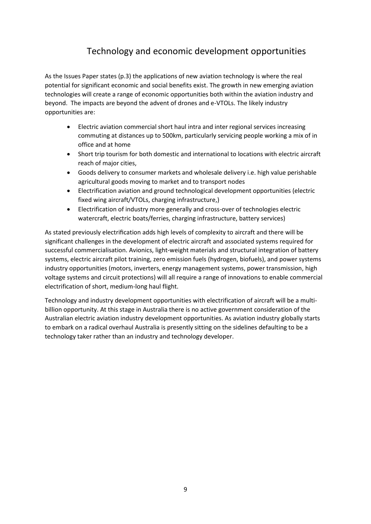### Technology and economic development opportunities

As the Issues Paper states (p.3) the applications of new aviation technology is where the real potential for significant economic and social benefits exist. The growth in new emerging aviation technologies will create a range of economic opportunities both within the aviation industry and beyond. The impacts are beyond the advent of drones and e-VTOLs. The likely industry opportunities are:

- Electric aviation commercial short haul intra and inter regional services increasing commuting at distances up to 500km, particularly servicing people working a mix of in office and at home
- Short trip tourism for both domestic and international to locations with electric aircraft reach of major cities,
- Goods delivery to consumer markets and wholesale delivery i.e. high value perishable agricultural goods moving to market and to transport nodes
- Electrification aviation and ground technological development opportunities (electric fixed wing aircraft/VTOLs, charging infrastructure,)
- Electrification of industry more generally and cross-over of technologies electric watercraft, electric boats/ferries, charging infrastructure, battery services)

As stated previously electrification adds high levels of complexity to aircraft and there will be significant challenges in the development of electric aircraft and associated systems required for successful commercialisation. Avionics, light-weight materials and structural integration of battery systems, electric aircraft pilot training, zero emission fuels (hydrogen, biofuels), and power systems industry opportunities (motors, inverters, energy management systems, power transmission, high voltage systems and circuit protections) will all require a range of innovations to enable commercial electrification of short, medium-long haul flight.

Technology and industry development opportunities with electrification of aircraft will be a multibillion opportunity. At this stage in Australia there is no active government consideration of the Australian electric aviation industry development opportunities. As aviation industry globally starts to embark on a radical overhaul Australia is presently sitting on the sidelines defaulting to be a technology taker rather than an industry and technology developer.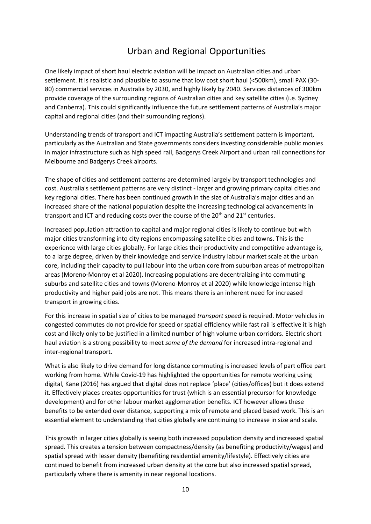#### Urban and Regional Opportunities

One likely impact of short haul electric aviation will be impact on Australian cities and urban settlement. It is realistic and plausible to assume that low cost short haul (<500km), small PAX (30- 80) commercial services in Australia by 2030, and highly likely by 2040. Services distances of 300km provide coverage of the surrounding regions of Australian cities and key satellite cities (i.e. Sydney and Canberra). This could significantly influence the future settlement patterns of Australia's major capital and regional cities (and their surrounding regions).

Understanding trends of transport and ICT impacting Australia's settlement pattern is important, particularly as the Australian and State governments considers investing considerable public monies in major infrastructure such as high speed rail, Badgerys Creek Airport and urban rail connections for Melbourne and Badgerys Creek airports.

The shape of cities and settlement patterns are determined largely by transport technologies and cost. Australia's settlement patterns are very distinct - larger and growing primary capital cities and key regional cities. There has been continued growth in the size of Australia's major cities and an increased share of the national population despite the increasing technological advancements in transport and ICT and reducing costs over the course of the  $20<sup>th</sup>$  and  $21<sup>st</sup>$  centuries.

Increased population attraction to capital and major regional cities is likely to continue but with major cities transforming into city regions encompassing satellite cities and towns. This is the experience with large cities globally. For large cities their productivity and competitive advantage is, to a large degree, driven by their knowledge and service industry labour market scale at the urban core, including their capacity to pull labour into the urban core from suburban areas of metropolitan areas (Moreno-Monroy et al 2020). Increasing populations are decentralizing into commuting suburbs and satellite cities and towns (Moreno-Monroy et al 2020) while knowledge intense high productivity and higher paid jobs are not. This means there is an inherent need for increased transport in growing cities.

For this increase in spatial size of cities to be managed *transport speed* is required. Motor vehicles in congested commutes do not provide for speed or spatial efficiency while fast rail is effective it is high cost and likely only to be justified in a limited number of high volume urban corridors. Electric short haul aviation is a strong possibility to meet *some of the demand* for increased intra-regional and inter-regional transport.

What is also likely to drive demand for long distance commuting is increased levels of part office part working from home. While Covid-19 has highlighted the opportunities for remote working using digital, Kane (2016) has argued that digital does not replace 'place' (cities/offices) but it does extend it. Effectively places creates opportunities for trust (which is an essential precursor for knowledge development) and for other labour market agglomeration benefits. ICT however allows these benefits to be extended over distance, supporting a mix of remote and placed based work. This is an essential element to understanding that cities globally are continuing to increase in size and scale.

This growth in larger cities globally is seeing both increased population density and increased spatial spread. This creates a tension between compactness/density (as benefiting productivity/wages) and spatial spread with lesser density (benefiting residential amenity/lifestyle). Effectively cities are continued to benefit from increased urban density at the core but also increased spatial spread, particularly where there is amenity in near regional locations.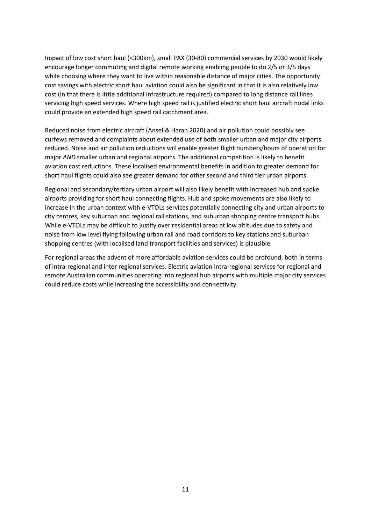Impact of low cost short haul (<300km), small PAX (30-80) commercial services by 2030 would likely encourage longer commuting and digital remote working enabling people to do 2/5 or 3/5 days while choosing where they want to live within reasonable distance of major cities. The opportunity cost savings with electric short haul aviation could also be significant in that it is also relatively low cost (in that there is little additional infrastructure required) compared to long distance rail lines servicing high speed services. Where high speed rail is justified electric short haul aircraft nodal links could provide an extended high speed rail catchment area.

Reduced noise from electric aircraft (Ansell& Haran 2020) and air pollution could possibly see curfews removed and complaints about extended use of both smaller urban and major city airports reduced. Noise and air pollution reductions will enable greater flight numbers/hours of operation for major *AND* smaller urban and regional airports. The additional competition is likely to benefit aviation cost reductions. These localised environmental benefits in addition to greater demand for short haul flights could also see greater demand for other second and third tier urban airports.

Regional and secondary/tertiary urban airport will also likely benefit with increased hub and spoke airports providing for short haul connecting flights. Hub and spoke movements are also likely to increase in the urban context with e-VTOLs services potentially connecting city and urban airports to city centres, key suburban and regional rail stations, and suburban shopping centre transport hubs. While e-VTOLs may be difficult to justify over residential areas at low altitudes due to safety and noise from low level flying following urban rail and road corridors to key stations and suburban shopping centres (with localised land transport facilities and services) is plausible.

For regional areas the advent of more affordable aviation services could be profound, both in terms of intra-regional and inter regional services. Electric aviation intra-regional services for regional and remote Australian communities operating into regional hub airports with multiple major city services could reduce costs while increasing the accessibility and connectivity.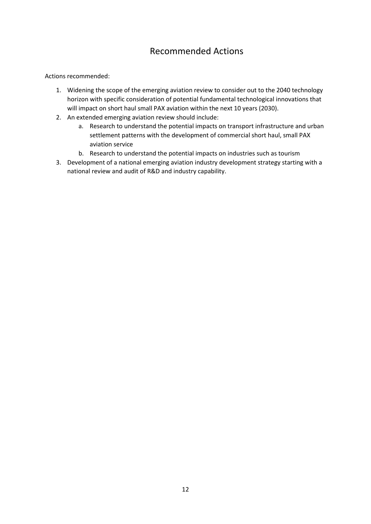#### Recommended Actions

Actions recommended:

- 1. Widening the scope of the emerging aviation review to consider out to the 2040 technology horizon with specific consideration of potential fundamental technological innovations that will impact on short haul small PAX aviation within the next 10 years (2030).
- 2. An extended emerging aviation review should include:
	- a. Research to understand the potential impacts on transport infrastructure and urban settlement patterns with the development of commercial short haul, small PAX aviation service
	- b. Research to understand the potential impacts on industries such as tourism
- 3. Development of a national emerging aviation industry development strategy starting with a national review and audit of R&D and industry capability.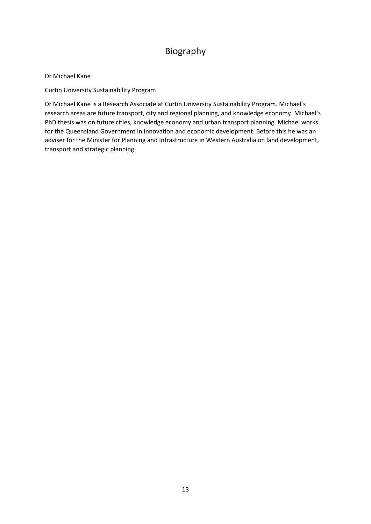### Biography

#### Dr Michael Kane

Curtin University Sustainability Program

Dr Michael Kane is a Research Associate at Curtin University Sustainability Program. Michael's research areas are future transport, city and regional planning, and knowledge economy. Michael's PhD thesis was on future cities, knowledge economy and urban transport planning. Michael works for the Queensland Government in innovation and economic development. Before this he was an adviser for the Minister for Planning and Infrastructure in Western Australia on land development, transport and strategic planning.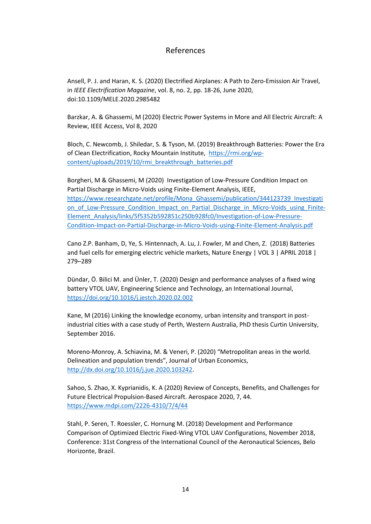#### References

Ansell, P. J. and Haran, K. S. (2020) Electrified Airplanes: A Path to Zero-Emission Air Travel, in *IEEE Electrification Magazine*, vol. 8, no. 2, pp. 18-26, June 2020, doi:10.1109/MELE.2020.2985482

Barzkar, A. & Ghassemi, M (2020) Electric Power Systems in More and All Electric Aircraft: A Review, IEEE Access, Vol 8, 2020

Bloch, C. Newcomb, J. Shiledar, S. & Tyson, M. (2019) Breakthrough Batteries: Power the Era of Clean Electrification, Rocky Mountain Institute, [https://rmi.org/wp](https://rmi.org/wp-content/uploads/2019/10/rmi_breakthrough_batteries.pdf)[content/uploads/2019/10/rmi\\_breakthrough\\_batteries.pdf](https://rmi.org/wp-content/uploads/2019/10/rmi_breakthrough_batteries.pdf)

Borgheri, M & Ghassemi, M (2020) Investigation of Low-Pressure Condition Impact on Partial Discharge in Micro-Voids using Finite-Element Analysis, IEEE, [https://www.researchgate.net/profile/Mona\\_Ghassemi/publication/344123739\\_Investigati](https://www.researchgate.net/profile/Mona_Ghassemi/publication/344123739_Investigation_of_Low-Pressure_Condition_Impact_on_Partial_Discharge_in_Micro-Voids_using_Finite-Element_Analysis/links/5f5352b592851c250b928fc0/Investigation-of-Low-Pressure-Condition-Impact-on-Partial-Discharge-in-Micro-Voids-using-Finite-Element-Analysis.pdf) on of Low-Pressure Condition Impact on Partial Discharge in Micro-Voids using Finite-[Element\\_Analysis/links/5f5352b592851c250b928fc0/Investigation-of-Low-Pressure-](https://www.researchgate.net/profile/Mona_Ghassemi/publication/344123739_Investigation_of_Low-Pressure_Condition_Impact_on_Partial_Discharge_in_Micro-Voids_using_Finite-Element_Analysis/links/5f5352b592851c250b928fc0/Investigation-of-Low-Pressure-Condition-Impact-on-Partial-Discharge-in-Micro-Voids-using-Finite-Element-Analysis.pdf)[Condition-Impact-on-Partial-Discharge-in-Micro-Voids-using-Finite-Element-Analysis.pdf](https://www.researchgate.net/profile/Mona_Ghassemi/publication/344123739_Investigation_of_Low-Pressure_Condition_Impact_on_Partial_Discharge_in_Micro-Voids_using_Finite-Element_Analysis/links/5f5352b592851c250b928fc0/Investigation-of-Low-Pressure-Condition-Impact-on-Partial-Discharge-in-Micro-Voids-using-Finite-Element-Analysis.pdf)

Cano Z.P. Banham, D, Ye, S. Hintennach, A. Lu, J. Fowler, M and Chen, Z. (2018) Batteries and fuel cells for emerging electric vehicle markets, Nature Energy | VOL 3 | APRIL 2018 | 279–289

Dündar, Ö. Bilici M. and Ünler, T. (2020) Design and performance analyses of a fixed wing battery VTOL UAV, Engineering Science and Technology, an International Journal, <https://doi.org/10.1016/j.jestch.2020.02.002>

Kane, M (2016) Linking the knowledge economy, urban intensity and transport in postindustrial cities with a case study of Perth, Western Australia, PhD thesis Curtin University, September 2016.

Moreno-Monroy, A. Schiavina, M. & Veneri, P. (2020) "Metropolitan areas in the world. Delineation and population trends", Journal of Urban Economics, [http://dx.doi.org/10.1016/j.jue.2020.103242.](http://dx.doi.org/10.1016/j.jue.2020.103242)

Sahoo, S. Zhao, X. Kyprianidis, K. A (2020) Review of Concepts, Benefits, and Challenges for Future Electrical Propulsion-Based Aircraft. Aerospace 2020, 7, 44. <https://www.mdpi.com/2226-4310/7/4/44>

Stahl, P. Seren, T. Roessler, C. Hornung M. (2018) Development and Performance Comparison of Optimized Electric Fixed-Wing VTOL UAV Configurations, November 2018, Conference: 31st Congress of the International Council of the Aeronautical Sciences, Belo Horizonte, Brazil.